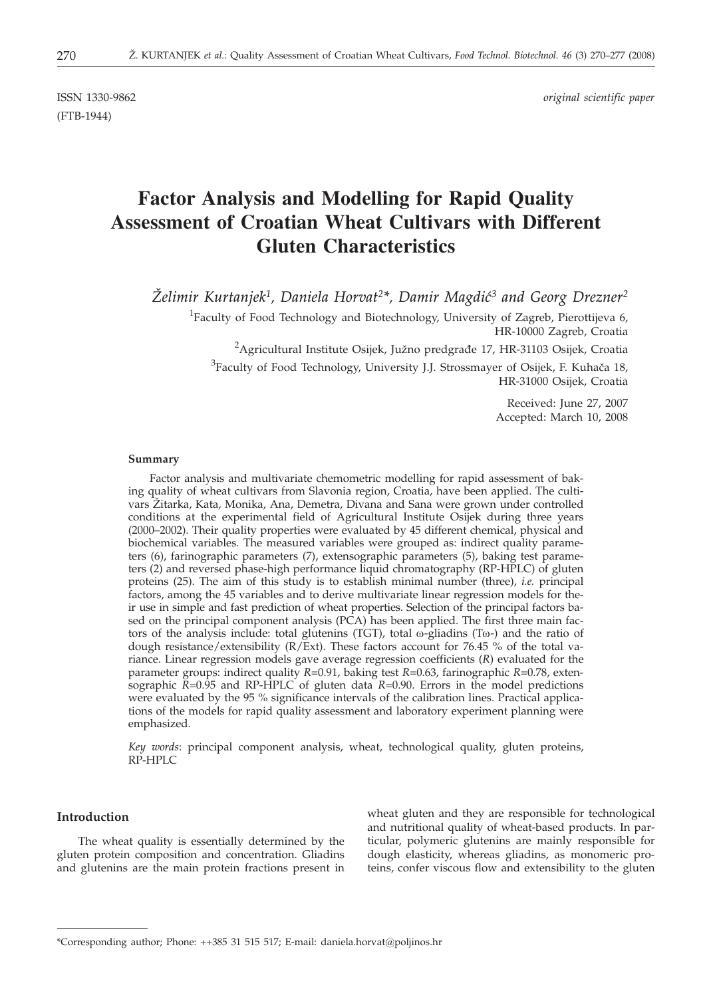(FTB-1944)

ISSN 1330-9862 *original scientific paper*

# **Factor Analysis and Modelling for Rapid Quality Assessment of Croatian Wheat Cultivars with Different Gluten Characteristics**

*@elimir Kurtanjek1, Daniela Horvat2\*, Damir Magdi}3 and Georg Drezner2*

<sup>1</sup>Faculty of Food Technology and Biotechnology, University of Zagreb, Pierottijeva 6, HR-10000 Zagreb, Croatia <sup>2</sup>Agricultural Institute Osijek, Južno predgrađe 17, HR-31103 Osijek, Croatia  $^3$ Faculty of Food Technology, University J.J. Strossmayer of Osijek, F. Kuhača 18, HR-31000 Osijek, Croatia

> Received: June 27, 2007 Accepted: March 10, 2008

#### **Summary**

Factor analysis and multivariate chemometric modelling for rapid assessment of baking quality of wheat cultivars from Slavonia region, Croatia, have been applied. The cultivars Žitarka, Kata, Monika, Ana, Demetra, Divana and Sana were grown under controlled conditions at the experimental field of Agricultural Institute Osijek during three years (2000–2002). Their quality properties were evaluated by 45 different chemical, physical and biochemical variables. The measured variables were grouped as: indirect quality parameters (6), farinographic parameters (7), extensographic parameters (5), baking test parameters (2) and reversed phase-high performance liquid chromatography (RP-HPLC) of gluten proteins (25). The aim of this study is to establish minimal number (three), *i.e.* principal factors, among the 45 variables and to derive multivariate linear regression models for their use in simple and fast prediction of wheat properties. Selection of the principal factors based on the principal component analysis (PCA) has been applied. The first three main factors of the analysis include: total glutenins (TGT), total  $\omega$ -gliadins (T $\omega$ -) and the ratio of dough resistance/extensibility ( $R/Ext$ ). These factors account for 76.45 % of the total variance. Linear regression models gave average regression coefficients (*R*) evaluated for the parameter groups: indirect quality *R*=0.91, baking test *R*=0.63, farinographic *R*=0.78, extensographic *R*=0.95 and RP-HPLC of gluten data *R*=0.90. Errors in the model predictions were evaluated by the 95 % significance intervals of the calibration lines. Practical applications of the models for rapid quality assessment and laboratory experiment planning were emphasized.

*Key words*: principal component analysis, wheat, technological quality, gluten proteins, RP-HPLC

#### **Introduction**

The wheat quality is essentially determined by the gluten protein composition and concentration. Gliadins and glutenins are the main protein fractions present in

wheat gluten and they are responsible for technological and nutritional quality of wheat-based products. In particular, polymeric glutenins are mainly responsible for dough elasticity, whereas gliadins, as monomeric proteins, confer viscous flow and extensibility to the gluten

<sup>\*</sup>Corresponding author; Phone: ++385 31 515 517; E-mail: daniela.horvat@poljinos.hr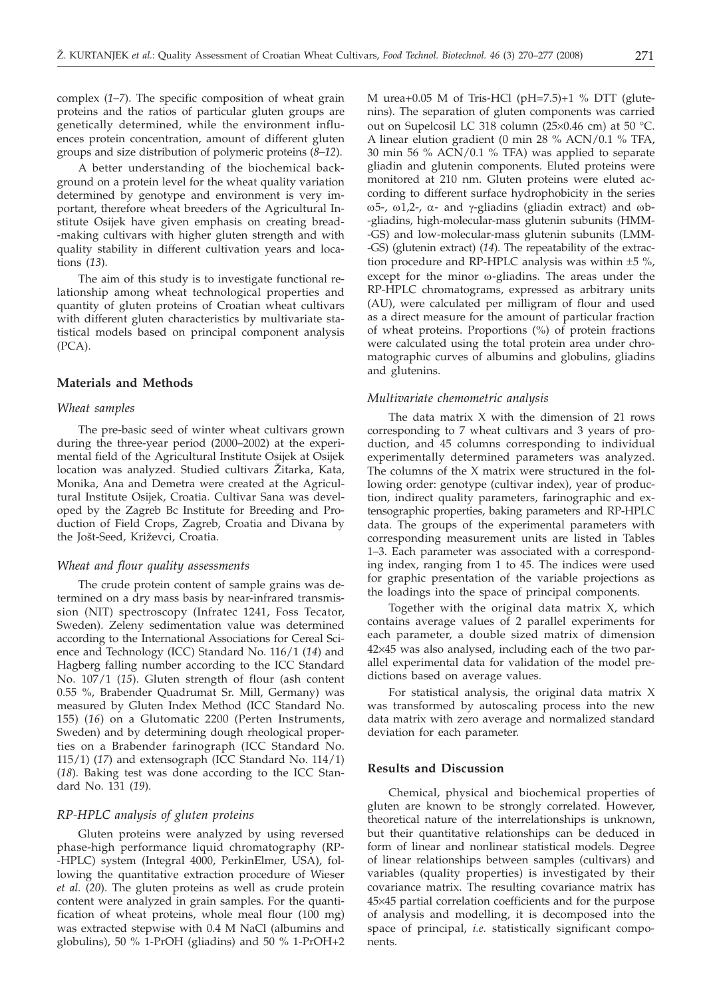complex (*1–7*). The specific composition of wheat grain proteins and the ratios of particular gluten groups are genetically determined, while the environment influences protein concentration, amount of different gluten groups and size distribution of polymeric proteins (*8–12*).

A better understanding of the biochemical background on a protein level for the wheat quality variation determined by genotype and environment is very important, therefore wheat breeders of the Agricultural Institute Osijek have given emphasis on creating bread- -making cultivars with higher gluten strength and with quality stability in different cultivation years and locations (*13*).

The aim of this study is to investigate functional relationship among wheat technological properties and quantity of gluten proteins of Croatian wheat cultivars with different gluten characteristics by multivariate statistical models based on principal component analysis (PCA).

## **Materials and Methods**

## *Wheat samples*

The pre-basic seed of winter wheat cultivars grown during the three-year period (2000–2002) at the experimental field of the Agricultural Institute Osijek at Osijek location was analyzed. Studied cultivars Žitarka, Kata, Monika, Ana and Demetra were created at the Agricultural Institute Osijek, Croatia. Cultivar Sana was developed by the Zagreb Bc Institute for Breeding and Production of Field Crops, Zagreb, Croatia and Divana by the Jošt-Seed, Križevci, Croatia.

## *Wheat and flour quality assessments*

The crude protein content of sample grains was determined on a dry mass basis by near-infrared transmission (NIT) spectroscopy (Infratec 1241, Foss Tecator, Sweden). Zeleny sedimentation value was determined according to the International Associations for Cereal Science and Technology (ICC) Standard No. 116/1 (*14*) and Hagberg falling number according to the ICC Standard No. 107/1 (*15*). Gluten strength of flour (ash content 0.55 %, Brabender Quadrumat Sr. Mill, Germany) was measured by Gluten Index Method (ICC Standard No. 155) (*16*) on a Glutomatic 2200 (Perten Instruments, Sweden) and by determining dough rheological properties on a Brabender farinograph (ICC Standard No. 115/1) (*17*) and extensograph (ICC Standard No. 114/1) (*18*). Baking test was done according to the ICC Standard No. 131 (*19*).

# *RP-HPLC analysis of gluten proteins*

Gluten proteins were analyzed by using reversed phase-high performance liquid chromatography (RP- -HPLC) system (Integral 4000, PerkinElmer, USA), following the quantitative extraction procedure of Wieser *et al.* (*20*). The gluten proteins as well as crude protein content were analyzed in grain samples. For the quantification of wheat proteins, whole meal flour (100 mg) was extracted stepwise with 0.4 M NaCl (albumins and globulins), 50 % 1-PrOH (gliadins) and 50 % 1-PrOH+2 M urea+0.05 M of Tris-HCl (pH=7.5)+1 % DTT (glutenins). The separation of gluten components was carried out on Supelcosil LC 318 column (25×0.46 cm) at 50 °C. A linear elution gradient (0 min 28 % ACN/0.1 % TFA, 30 min 56 % ACN/0.1 % TFA) was applied to separate gliadin and glutenin components. Eluted proteins were monitored at 210 nm. Gluten proteins were eluted according to different surface hydrophobicity in the series ω5-, ω1,2-,  $\alpha$ - and γ-gliadins (gliadin extract) and ωb--gliadins, high-molecular-mass glutenin subunits (HMM- -GS) and low-molecular-mass glutenin subunits (LMM- -GS) (glutenin extract) (*14*). The repeatability of the extraction procedure and RP-HPLC analysis was within ±5 %, except for the minor  $\omega$ -gliadins. The areas under the RP-HPLC chromatograms, expressed as arbitrary units (AU), were calculated per milligram of flour and used as a direct measure for the amount of particular fraction of wheat proteins. Proportions (%) of protein fractions were calculated using the total protein area under chromatographic curves of albumins and globulins, gliadins and glutenins.

#### *Multivariate chemometric analysis*

The data matrix X with the dimension of 21 rows corresponding to 7 wheat cultivars and 3 years of production, and 45 columns corresponding to individual experimentally determined parameters was analyzed. The columns of the X matrix were structured in the following order: genotype (cultivar index), year of production, indirect quality parameters, farinographic and extensographic properties, baking parameters and RP-HPLC data. The groups of the experimental parameters with corresponding measurement units are listed in Tables 1–3. Each parameter was associated with a corresponding index, ranging from 1 to 45. The indices were used for graphic presentation of the variable projections as the loadings into the space of principal components.

Together with the original data matrix X, which contains average values of 2 parallel experiments for each parameter, a double sized matrix of dimension 42×45 was also analysed, including each of the two parallel experimental data for validation of the model predictions based on average values.

For statistical analysis, the original data matrix X was transformed by autoscaling process into the new data matrix with zero average and normalized standard deviation for each parameter.

## **Results and Discussion**

Chemical, physical and biochemical properties of gluten are known to be strongly correlated. However, theoretical nature of the interrelationships is unknown, but their quantitative relationships can be deduced in form of linear and nonlinear statistical models. Degree of linear relationships between samples (cultivars) and variables (quality properties) is investigated by their covariance matrix. The resulting covariance matrix has 45×45 partial correlation coefficients and for the purpose of analysis and modelling, it is decomposed into the space of principal, *i.e.* statistically significant components.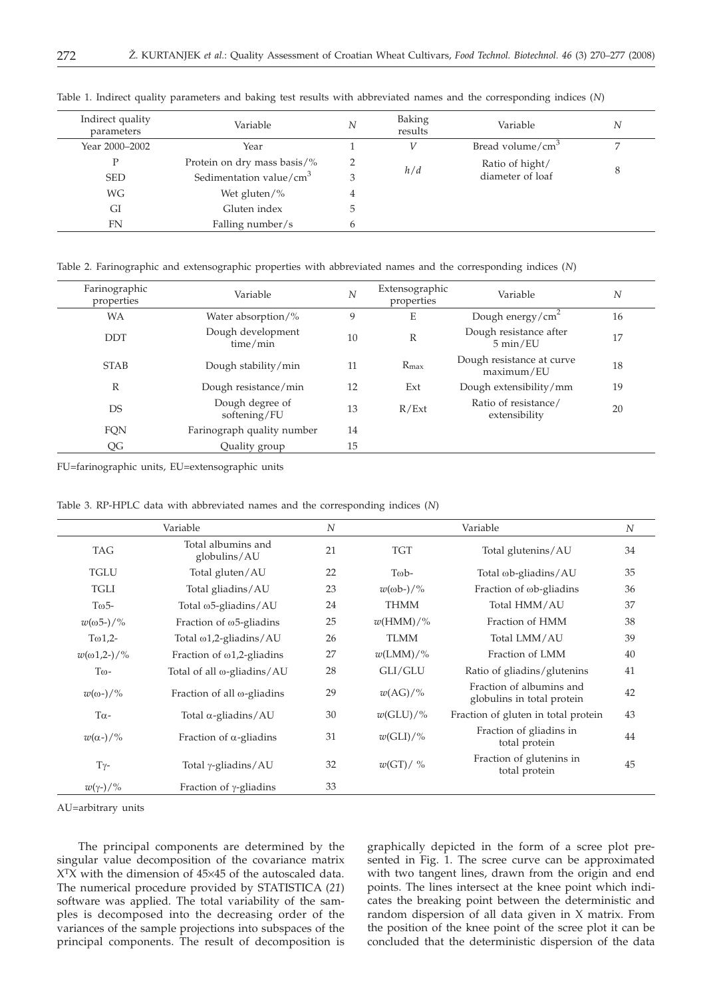| Indirect quality<br>parameters | Variable                           | Ν   | Baking<br>results | Variable                     | Ν |
|--------------------------------|------------------------------------|-----|-------------------|------------------------------|---|
| Year 2000-2002                 | Year                               |     | V                 | Bread volume/cm <sup>3</sup> |   |
| р                              | Protein on dry mass basis/%        | ∍   |                   | Ratio of hight/              |   |
| <b>SED</b>                     | Sedimentation value/ $\text{cm}^3$ | h/d |                   | diameter of loaf             | 8 |
| WG                             | Wet gluten/ $\%$                   |     |                   |                              |   |
| GI                             | Gluten index                       |     |                   |                              |   |
| FN                             | Falling number/s                   | h   |                   |                              |   |

Table 1. Indirect quality parameters and baking test results with abbreviated names and the corresponding indices (*N*)

Table 2. Farinographic and extensographic properties with abbreviated names and the corresponding indices (*N*)

| Farinographic<br>properties | Variable                        | N  | Extensographic<br>properties | Variable                                     | N  |
|-----------------------------|---------------------------------|----|------------------------------|----------------------------------------------|----|
| <b>WA</b>                   | Water absorption/%              | 9  | E                            | Dough energy/ $cm2$                          | 16 |
| <b>DDT</b>                  | Dough development<br>time/min   | 10 | R                            | Dough resistance after<br>$5 \text{ min/EU}$ | 17 |
| <b>STAB</b>                 | Dough stability/min             | 11 | $R_{\text{max}}$             | Dough resistance at curve<br>maximum/EU      | 18 |
| R                           | Dough resistance/min            | 12 | Ext                          | Dough extensibility/mm                       | 19 |
| <b>DS</b>                   | Dough degree of<br>softening/FU | 13 | R/Ext                        | Ratio of resistance/<br>extensibility        | 20 |
| <b>FON</b>                  | Farinograph quality number      | 14 |                              |                                              |    |
| QG                          | Quality group                   | 15 |                              |                                              |    |

FU=farinographic units, EU=extensographic units

| Table 3. RP-HPLC data with abbreviated names and the corresponding indices $(N)$ |  |  |  |  |  |  |  |  |
|----------------------------------------------------------------------------------|--|--|--|--|--|--|--|--|
|----------------------------------------------------------------------------------|--|--|--|--|--|--|--|--|

|                     | Variable                           | N  |                       | Variable                                               | N  |
|---------------------|------------------------------------|----|-----------------------|--------------------------------------------------------|----|
| <b>TAG</b>          | Total albumins and<br>globulins/AU | 21 | <b>TGT</b>            | Total glutenins/AU                                     | 34 |
| <b>TGLU</b>         | Total gluten/AU                    | 22 | $Tob-$                | Total @b-gliadins/AU                                   | 35 |
| TGLI                | Total gliadins/AU                  | 23 | $w(\omega b$ - $)/\%$ | Fraction of $\omega$ b-gliadins                        | 36 |
| $T\omega$ 5-        | Total @5-gliadins/AU               | 24 | <b>THMM</b>           | Total HMM/AU                                           | 37 |
| $w(\omega 5-)$ /%   | Fraction of $\omega$ 5-gliadins    | 25 | $w(HMM)/\%$           | Fraction of HMM                                        | 38 |
| $T\omega$ 1,2-      | Total @1,2-gliadins/AU             | 26 | <b>TLMM</b>           | Total LMM/AU                                           | 39 |
| $w(\omega 1,2-)$ /% | Fraction of $\omega$ 1,2-gliadins  | 27 | $w(LMM)/\%$           | Fraction of LMM                                        | 40 |
| $T\omega$ -         | Total of all $\omega$ -gliadins/AU | 28 | GLI/GLU               | Ratio of gliadins/glutenins                            | 41 |
| $w(\omega$ - $)/\%$ | Fraction of all $\omega$ -gliadins | 29 | $w(\text{AG})/\%$     | Fraction of albumins and<br>globulins in total protein | 42 |
| $T\alpha$ -         | Total $\alpha$ -gliadins/AU        | 30 | $w(GLU)/\%$           | Fraction of gluten in total protein                    | 43 |
| $w(\alpha$ - $)/\%$ | Fraction of $\alpha$ -gliadins     | 31 | $w(GLI)/\%$           | Fraction of gliadins in<br>total protein               | 44 |
| $T_{\gamma^-}$      | Total $\gamma$ -gliadins/AU        | 32 | $w(GT)/\%$            | Fraction of glutenins in<br>total protein              | 45 |
| $w(\gamma$ - $)/\%$ | Fraction of $\gamma$ -gliadins     | 33 |                       |                                                        |    |

AU=arbitrary units

The principal components are determined by the singular value decomposition of the covariance matrix XTX with the dimension of 45×45 of the autoscaled data. The numerical procedure provided by STATISTICA (*21*) software was applied. The total variability of the samples is decomposed into the decreasing order of the variances of the sample projections into subspaces of the principal components. The result of decomposition is

graphically depicted in the form of a scree plot presented in Fig. 1. The scree curve can be approximated with two tangent lines, drawn from the origin and end points. The lines intersect at the knee point which indicates the breaking point between the deterministic and random dispersion of all data given in X matrix. From the position of the knee point of the scree plot it can be concluded that the deterministic dispersion of the data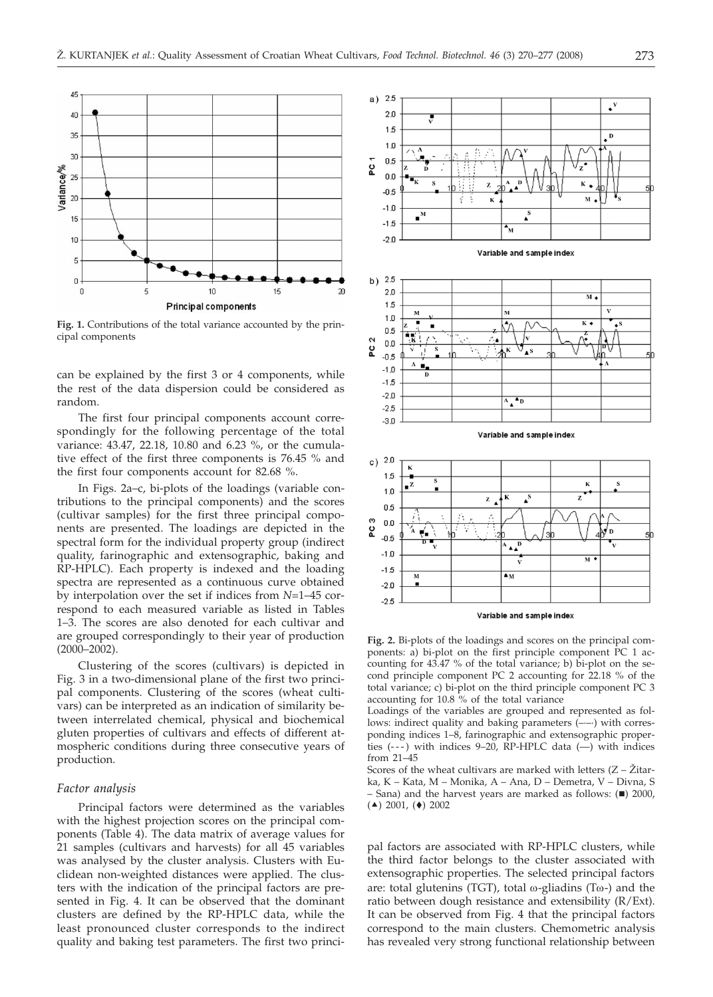

**Fig. 1.** Contributions of the total variance accounted by the principal components

can be explained by the first 3 or 4 components, while the rest of the data dispersion could be considered as random.

The first four principal components account correspondingly for the following percentage of the total variance: 43.47, 22.18, 10.80 and 6.23 %, or the cumulative effect of the first three components is 76.45 % and the first four components account for 82.68 %.

In Figs. 2a–c, bi-plots of the loadings (variable contributions to the principal components) and the scores (cultivar samples) for the first three principal components are presented. The loadings are depicted in the spectral form for the individual property group (indirect quality, farinographic and extensographic, baking and RP-HPLC). Each property is indexed and the loading spectra are represented as a continuous curve obtained by interpolation over the set if indices from *N*=1–45 correspond to each measured variable as listed in Tables 1–3. The scores are also denoted for each cultivar and are grouped correspondingly to their year of production (2000–2002).

Clustering of the scores (cultivars) is depicted in Fig. 3 in a two-dimensional plane of the first two principal components. Clustering of the scores (wheat cultivars) can be interpreted as an indication of similarity between interrelated chemical, physical and biochemical gluten properties of cultivars and effects of different atmospheric conditions during three consecutive years of production.

## *Factor analysis*

Principal factors were determined as the variables with the highest projection scores on the principal components (Table 4). The data matrix of average values for 21 samples (cultivars and harvests) for all 45 variables was analysed by the cluster analysis. Clusters with Euclidean non-weighted distances were applied. The clusters with the indication of the principal factors are presented in Fig. 4. It can be observed that the dominant clusters are defined by the RP-HPLC data, while the least pronounced cluster corresponds to the indirect quality and baking test parameters. The first two princi-



**Fig. 2.** Bi-plots of the loadings and scores on the principal components: a) bi-plot on the first principle component PC 1 accounting for 43.47 % of the total variance; b) bi-plot on the second principle component PC 2 accounting for 22.18 % of the total variance; c) bi-plot on the third principle component PC 3 accounting for 10.8 % of the total variance

Loadings of the variables are grouped and represented as follows: indirect quality and baking parameters  $(-\cdot)$  with corresponding indices 1–8, farinographic and extensographic properties  $(--)$  with indices  $9-20$ , RP-HPLC data  $(-)$  with indices from 21–45

Scores of the wheat cultivars are marked with letters  $(Z - \check{Z})$  tarka, K – Kata, M – Monika, A – Ana, D – Demetra, V – Divna, S  $-$  Sana) and the harvest years are marked as follows:  $($   $\blacksquare$ ) 2000,  $(4)$  2001,  $(4)$  2002

pal factors are associated with RP-HPLC clusters, while the third factor belongs to the cluster associated with extensographic properties. The selected principal factors are: total glutenins (TGT), total  $\omega$ -gliadins (T $\omega$ -) and the ratio between dough resistance and extensibility (R/Ext). It can be observed from Fig. 4 that the principal factors correspond to the main clusters. Chemometric analysis has revealed very strong functional relationship between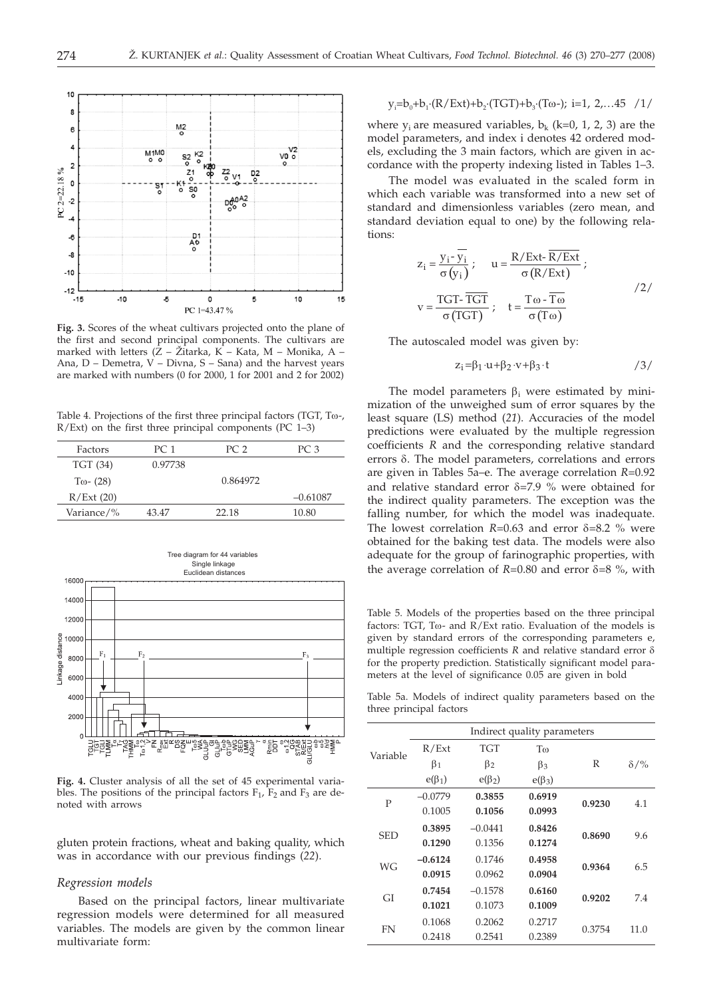

**Fig. 3.** Scores of the wheat cultivars projected onto the plane of the first and second principal components. The cultivars are marked with letters  $(Z - \check{Z}i)$ tarka,  $\overline{K}$  – Kata, M – Monika, A – Ana, D – Demetra, V – Divna, S – Sana) and the harvest years are marked with numbers (0 for 2000, 1 for 2001 and 2 for 2002)

Table 4. Projections of the first three principal factors (TGT, T $\omega$ -, R/Ext) on the first three principal components (PC 1–3)

| Factors                                 | PC 1    | PC <sub>2</sub> | PC 3       |
|-----------------------------------------|---------|-----------------|------------|
| TGT (34)                                | 0.97738 |                 |            |
| T <sub><math>\omega</math></sub> - (28) |         | 0.864972        |            |
| R/Ext(20)                               |         |                 | $-0.61087$ |
| Variance/%                              | 43.47   | 22.18           | 10.80      |



**Fig. 4.** Cluster analysis of all the set of 45 experimental variables. The positions of the principal factors  $F_1$ ,  $F_2$  and  $F_3$  are denoted with arrows

gluten protein fractions, wheat and baking quality, which was in accordance with our previous findings (*22*).

#### *Regression models*

Based on the principal factors, linear multivariate regression models were determined for all measured variables. The models are given by the common linear multivariate form:

$$
y_i = b_0 + b_1 \cdot (R/Ext) + b_2 \cdot (TGT) + b_3 \cdot (T\omega -); i = 1, 2, \ldots 45
$$
 / 1/

where  $y_i$  are measured variables,  $b_k$  (k=0, 1, 2, 3) are the model parameters, and index i denotes 42 ordered models, excluding the 3 main factors, which are given in accordance with the property indexing listed in Tables 1–3.

The model was evaluated in the scaled form in which each variable was transformed into a new set of standard and dimensionless variables (zero mean, and standard deviation equal to one) by the following relations:

$$
z_{i} = \frac{y_{i} - y_{i}}{\sigma(y_{i})}; \quad u = \frac{R/Ext - R/Ext}{\sigma(R/Ext)};
$$
  

$$
v = \frac{TGT - TGT}{\sigma(TGT)}; \quad t = \frac{T\omega - T\omega}{\sigma(T\omega)}
$$
 (2)

The autoscaled model was given by:

$$
z_i = \beta_1 \cdot u + \beta_2 \cdot v + \beta_3 \cdot t \tag{3/}
$$

The model parameters  $\beta_i$  were estimated by minimization of the unweighed sum of error squares by the least square (LS) method (*21*). Accuracies of the model predictions were evaluated by the multiple regression coefficients *R* and the corresponding relative standard errors  $\delta$ . The model parameters, correlations and errors are given in Tables 5a–e. The average correlation *R*=0.92 and relative standard error  $\delta = 7.9$  % were obtained for the indirect quality parameters. The exception was the falling number, for which the model was inadequate. The lowest correlation  $R=0.63$  and error  $\delta=8.2$  % were obtained for the baking test data. The models were also adequate for the group of farinographic properties, with the average correlation of  $R=0.80$  and error  $\delta=8$  %, with

Table 5. Models of the properties based on the three principal factors: TGT, T<sub>0</sub>- and R/Ext ratio. Evaluation of the models is given by standard errors of the corresponding parameters e, multiple regression coefficients  $R$  and relative standard error  $\delta$ for the property prediction. Statistically significant model parameters at the level of significance 0.05 are given in bold

Table 5a. Models of indirect quality parameters based on the three principal factors

|            |              |              | Indirect quality parameters |        |             |
|------------|--------------|--------------|-----------------------------|--------|-------------|
| Variable   | R/Ext        | TGT          | Tω                          |        |             |
|            | $\beta_1$    | $\beta_2$    | $\beta_3$                   | R      | $\delta$ /% |
|            | $e(\beta_1)$ | $e(\beta_2)$ | $e(\beta_3)$                |        |             |
| P          | $-0.0779$    | 0.3855       | 0.6919                      | 0.9230 | 4.1         |
|            | 0.1005       | 0.1056       | 0.0993                      |        |             |
| <b>SED</b> | 0.3895       | $-0.0441$    | 0.8426                      | 0.8690 | 9.6         |
|            | 0.1290       | 0.1356       | 0.1274                      |        |             |
| WG         | $-0.6124$    | 0.1746       | 0.4958                      | 0.9364 | 6.5         |
|            | 0.0915       | 0.0962       | 0.0904                      |        |             |
| GI         | 0.7454       | $-0.1578$    | 0.6160                      | 0.9202 | 7.4         |
|            | 0.1021       | 0.1073       | 0.1009                      |        |             |
| FN         | 0.1068       | 0.2062       | 0.2717                      | 0.3754 | 11.0        |
|            | 0.2418       | 0.2541       | 0.2389                      |        |             |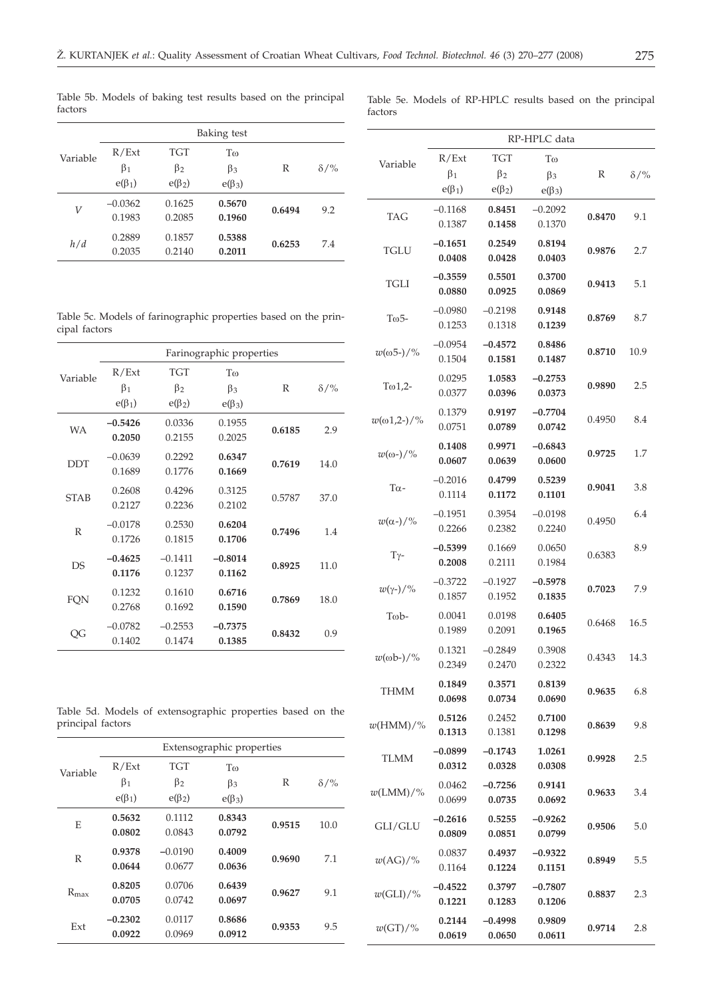Table 5b. Models of baking test results based on the principal factors

Table 5e. Models of RP-HPLC results based on the principal factors

|          |              |              | Baking test  |        |             |
|----------|--------------|--------------|--------------|--------|-------------|
| Variable | R/Ext        | TGT          | Tω           |        |             |
|          | $\beta_1$    | $\beta_2$    | $\beta_3$    | R      | $\delta$ /% |
|          | $e(\beta_1)$ | $e(\beta_2)$ | $e(\beta_3)$ |        |             |
| V        | $-0.0362$    | 0.1625       | 0.5670       |        |             |
|          | 0.1983       | 0.2085       | 0.1960       | 0.6494 | 9.2         |
| h/d      | 0.2889       | 0.1857       | 0.5388       |        |             |
|          | 0.2035       | 0.2140       | 0.2011       | 0.6253 | 7.4         |

Table 5c. Models of farinographic properties based on the principal factors

|             |                           | Farinographic properties |                           |        |             |
|-------------|---------------------------|--------------------------|---------------------------|--------|-------------|
| Variable    | R/Ext                     | TGT                      | $T\omega$                 |        |             |
|             | $\beta_1$<br>$e(\beta_1)$ | β2<br>$e(\beta_2)$       | $\beta_3$<br>$e(\beta_3)$ | R      | $\delta$ /% |
| <b>WA</b>   | $-0.5426$<br>0.2050       | 0.0336<br>0.2155         | 0.1955<br>0.2025          | 0.6185 | 2.9         |
| <b>DDT</b>  | $-0.0639$<br>0.1689       | 0.2292<br>0.1776         | 0.6347<br>0.1669          | 0.7619 | 14.0        |
| <b>STAB</b> | 0.2608<br>0.2127          | 0.4296<br>0.2236         | 0.3125<br>0.2102          | 0.5787 | 37.0        |
| R           | $-0.0178$<br>0.1726       | 0.2530<br>0.1815         | 0.6204<br>0.1706          | 0.7496 | 1.4         |
| DS          | $-0.4625$<br>0.1176       | $-0.1411$<br>0.1237      | $-0.8014$<br>0.1162       | 0.8925 | 11.0        |
| FON         | 0.1232<br>0.2768          | 0.1610<br>0.1692         | 0.6716<br>0.1590          | 0.7869 | 18.0        |
| OG          | $-0.0782$<br>0.1402       | $-0.2553$<br>0.1474      | $-0.7375$<br>0.1385       | 0.8432 | 0.9         |

Table 5d. Models of extensographic properties based on the principal factors

|                  |              |              | Extensographic properties |        |             |
|------------------|--------------|--------------|---------------------------|--------|-------------|
| Variable         | R/Ext        | TGT          | Tω                        |        |             |
|                  | $\beta_1$    | $\beta_2$    | $\beta_3$                 | R      | $\delta$ /% |
|                  | $e(\beta_1)$ | $e(\beta_2)$ | $e(\beta_3)$              |        |             |
| E                | 0.5632       | 0.1112       | 0.8343                    |        |             |
|                  | 0.0802       | 0.0843       | 0.0792                    | 0.9515 | 10.0        |
| R                | 0.9378       | $-0.0190$    | 0.4009                    |        |             |
|                  | 0.0644       | 0.0677       | 0.0636                    | 0.9690 | 7.1         |
|                  | 0.8205       | 0.0706       | 0.6439                    |        |             |
| $R_{\text{max}}$ | 0.0705       | 0.0742       | 0.0697                    | 0.9627 | 9.1         |
|                  | $-0.2302$    | 0.0117       | 0.8686                    |        |             |
| Ext              | 0.0922       | 0.0969       | 0.0912                    | 0.9353 | 9.5         |

|                       |              |              | RP-HPLC data |        |             |
|-----------------------|--------------|--------------|--------------|--------|-------------|
| Variable              | R/Ext        | <b>TGT</b>   | $T\omega$    |        |             |
|                       | $\beta_1$    | $\beta_2$    | $\beta_3$    | R      | $\delta$ /% |
|                       | $e(\beta_1)$ | $e(\beta_2)$ | $e(\beta_3)$ |        |             |
|                       | $-0.1168$    | 0.8451       | $-0.2092$    |        |             |
| <b>TAG</b>            | 0.1387       | 0.1458       | 0.1370       | 0.8470 | 9.1         |
| <b>TGLU</b>           | $-0.1651$    | 0.2549       | 0.8194       |        |             |
|                       | 0.0408       | 0.0428       | 0.0403       | 0.9876 | 2.7         |
| TGLI                  | $-0.3559$    | 0.5501       | 0.3700       | 0.9413 | 5.1         |
|                       | 0.0880       | 0.0925       | 0.0869       |        |             |
| $T\omega$ 5-          | $-0.0980$    | $-0.2198$    | 0.9148       | 0.8769 | 8.7         |
|                       | 0.1253       | 0.1318       | 0.1239       |        |             |
| $w(\omega 5-)$ /%     | $-0.0954$    | $-0.4572$    | 0.8486       | 0.8710 | 10.9        |
|                       | 0.1504       | 0.1581       | 0.1487       |        |             |
| $T\omega$ 1,2-        | 0.0295       | 1.0583       | $-0.2753$    | 0.9890 | 2.5         |
|                       | 0.0377       | 0.0396       | 0.0373       |        |             |
| $w(\omega 1,2-)$ /%   | 0.1379       | 0.9197       | $-0.7704$    | 0.4950 | 8.4         |
|                       | 0.0751       | 0.0789       | 0.0742       |        |             |
| $w(\omega$ - $)/\%$   | 0.1408       | 0.9971       | $-0.6843$    | 0.9725 | 1.7         |
|                       | 0.0607       | 0.0639       | 0.0600       |        |             |
| $T\alpha$ -           | $-0.2016$    | 0.4799       | 0.5239       | 0.9041 | 3.8         |
|                       | 0.1114       | 0.1172       | 0.1101       |        |             |
| $w(\alpha$ -)/%       | $-0.1951$    | 0.3954       | $-0.0198$    | 0.4950 | 6.4         |
|                       | 0.2266       | 0.2382       | 0.2240       |        |             |
| $T_{\gamma^-}$        | $-0.5399$    | 0.1669       | 0.0650       | 0.6383 | 8.9         |
|                       | 0.2008       | 0.2111       | 0.1984       |        |             |
| $w(\gamma$ - $)/\%$   | $-0.3722$    | $-0.1927$    | $-0.5978$    | 0.7023 | 7.9         |
|                       | 0.1857       | 0.1952       | 0.1835       |        |             |
| $Tωb-$                | 0.0041       | 0.0198       | 0.6405       | 0.6468 | 16.5        |
|                       | 0.1989       | 0.2091       | 0.1965       |        |             |
|                       | 0.1321       | $-0.2849$    | 0.3908       | 0.4343 | 14.3        |
| $w(\omega b$ - $)/\%$ | 0.2349       | 0.2470       | 0.2322       |        |             |
| THMM                  | 0.1849       | 0.3571       | 0.8139       | 0.9635 | 6.8         |
|                       | 0.0698       | 0.0734       | 0.0690       |        |             |
| $w(HMM)/\%$           | 0.5126       | 0.2452       | 0.7100       | 0.8639 | 9.8         |
|                       | 0.1313       | 0.1381       | 0.1298       |        |             |
| TLMM                  | $-0.0899$    | $-0.1743$    | 1.0261       | 0.9928 | 2.5         |
|                       | 0.0312       | 0.0328       | 0.0308       |        |             |
| $w(LMM)/\%$           | 0.0462       | $-0.7256$    | 0.9141       | 0.9633 | 3.4         |
|                       | 0.0699       | 0.0735       | 0.0692       |        |             |
| GLI/GLU               | $-0.2616$    | 0.5255       | $-0.9262$    | 0.9506 | 5.0         |
|                       | 0.0809       | 0.0851       | 0.0799       |        |             |
| $w(\text{AG})/\%$     | 0.0837       | 0.4937       | $-0.9322$    |        | 5.5         |
|                       | 0.1164       | 0.1224       | 0.1151       | 0.8949 |             |
| $w(GLI)/\%$           | $-0.4522$    | 0.3797       | $-0.7807$    | 0.8837 | 2.3         |
|                       | 0.1221       | 0.1283       | 0.1206       |        |             |
| $w(GT)/\%$            | 0.2144       | $-0.4998$    | 0.9809       |        | 2.8         |
|                       | 0.0619       | 0.0650       | 0.0611       | 0.9714 |             |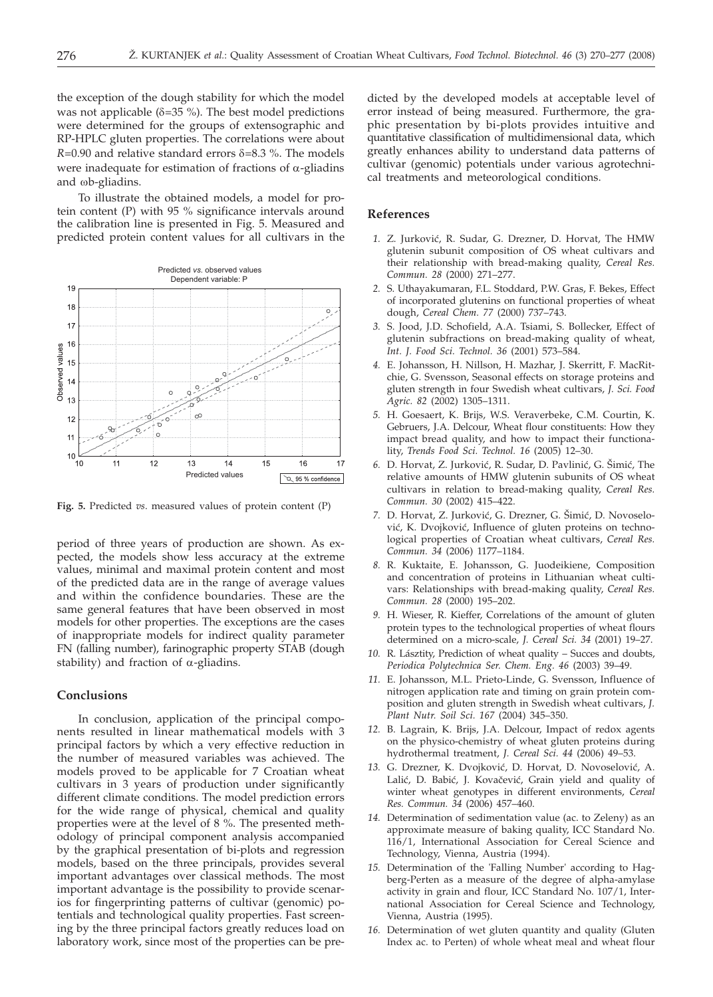the exception of the dough stability for which the model was not applicable ( $\delta$ =35 %). The best model predictions were determined for the groups of extensographic and RP-HPLC gluten properties. The correlations were about  $R=0.90$  and relative standard errors  $\delta=8.3$  %. The models were inadequate for estimation of fractions of  $\alpha$ -gliadins and  $\omega$ b-gliadins.

To illustrate the obtained models, a model for protein content (P) with 95 % significance intervals around the calibration line is presented in Fig. 5. Measured and predicted protein content values for all cultivars in the



**Fig. 5.** Predicted *vs*. measured values of protein content (P)

period of three years of production are shown. As expected, the models show less accuracy at the extreme values, minimal and maximal protein content and most of the predicted data are in the range of average values and within the confidence boundaries. These are the same general features that have been observed in most models for other properties. The exceptions are the cases of inappropriate models for indirect quality parameter FN (falling number), farinographic property STAB (dough stability) and fraction of  $\alpha$ -gliadins.

## **Conclusions**

In conclusion, application of the principal components resulted in linear mathematical models with 3 principal factors by which a very effective reduction in the number of measured variables was achieved. The models proved to be applicable for 7 Croatian wheat cultivars in 3 years of production under significantly different climate conditions. The model prediction errors for the wide range of physical, chemical and quality properties were at the level of 8 %. The presented methodology of principal component analysis accompanied by the graphical presentation of bi-plots and regression models, based on the three principals, provides several important advantages over classical methods. The most important advantage is the possibility to provide scenarios for fingerprinting patterns of cultivar (genomic) potentials and technological quality properties. Fast screening by the three principal factors greatly reduces load on laboratory work, since most of the properties can be pre-

dicted by the developed models at acceptable level of error instead of being measured. Furthermore, the graphic presentation by bi-plots provides intuitive and quantitative classification of multidimensional data, which greatly enhances ability to understand data patterns of cultivar (genomic) potentials under various agrotechnical treatments and meteorological conditions.

#### **References**

- 1. Z. Jurković, R. Sudar, G. Drezner, D. Horvat, The HMW glutenin subunit composition of OS wheat cultivars and their relationship with bread-making quality, *Cereal Res. Commun. 28* (2000) 271–277.
- *2.* S. Uthayakumaran, F.L. Stoddard, P.W. Gras, F. Bekes, Effect of incorporated glutenins on functional properties of wheat dough, *Cereal Chem. 77* (2000) 737–743.
- *3.* S. Jood, J.D. Schofield, A.A. Tsiami, S. Bollecker, Effect of glutenin subfractions on bread-making quality of wheat, *Int. J. Food Sci. Technol. 36* (2001) 573–584.
- *4.* E. Johansson, H. Nillson, H. Mazhar, J. Skerritt, F. MacRitchie, G. Svensson, Seasonal effects on storage proteins and gluten strength in four Swedish wheat cultivars, *J. Sci. Food Agric. 82* (2002) 1305–1311.
- *5.* H. Goesaert, K. Brijs, W.S. Veraverbeke, C.M. Courtin, K. Gebruers, J.A. Delcour, Wheat flour constituents: How they impact bread quality, and how to impact their functionality, *Trends Food Sci. Technol. 16* (2005) 12–30.
- 6. D. Horvat, Z. Jurković, R. Sudar, D. Pavlinić, G. Šimić, The relative amounts of HMW glutenin subunits of OS wheat cultivars in relation to bread-making quality, *Cereal Res. Commun. 30* (2002) 415–422.
- 7. D. Horvat, Z. Jurković, G. Drezner, G. Šimić, D. Novoselović, K. Dvojković, Influence of gluten proteins on technological properties of Croatian wheat cultivars, *Cereal Res. Commun. 34* (2006) 1177–1184.
- *8.* R. Kuktaite, E. Johansson, G. Juodeikiene, Composition and concentration of proteins in Lithuanian wheat cultivars: Relationships with bread-making quality, *Cereal Res. Commun. 28* (2000) 195–202.
- *9.* H. Wieser, R. Kieffer, Correlations of the amount of gluten protein types to the technological properties of wheat flours determined on a micro-scale, *J. Cereal Sci. 34* (2001) 19–27.
- *10.* R. Lásztity, Prediction of wheat quality Succes and doubts, *Periodica Polytechnica Ser. Chem. Eng. 46* (2003) 39–49.
- *11.* E. Johansson, M.L. Prieto-Linde, G. Svensson, Influence of nitrogen application rate and timing on grain protein composition and gluten strength in Swedish wheat cultivars, *J. Plant Nutr. Soil Sci. 167* (2004) 345–350.
- *12.* B. Lagrain, K. Brijs, J.A. Delcour, Impact of redox agents on the physico-chemistry of wheat gluten proteins during hydrothermal treatment, *J. Cereal Sci. 44* (2006) 49–53.
- 13. G. Drezner, K. Dvojković, D. Horvat, D. Novoselović, A. Lalić, D. Babić, J. Kovačević, Grain yield and quality of winter wheat genotypes in different environments, *Cereal Res. Commun. 34* (2006) 457–460.
- *14.* Determination of sedimentation value (ac. to Zeleny) as an approximate measure of baking quality, ICC Standard No. 116/1, International Association for Cereal Science and Technology, Vienna, Austria (1994).
- *15.* Determination of the 'Falling Number' according to Hagberg-Perten as a measure of the degree of alpha-amylase activity in grain and flour, ICC Standard No. 107/1, International Association for Cereal Science and Technology, Vienna, Austria (1995).
- *16.* Determination of wet gluten quantity and quality (Gluten Index ac. to Perten) of whole wheat meal and wheat flour